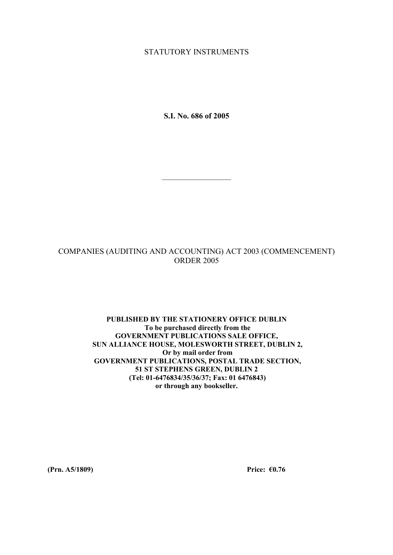#### STATUTORY INSTRUMENTS

**S.I. No. 686 of 2005** 

 $\mathcal{L}_\text{max}$ 

## COMPANIES (AUDITING AND ACCOUNTING) ACT 2003 (COMMENCEMENT) ORDER 2005

#### **PUBLISHED BY THE STATIONERY OFFICE DUBLIN To be purchased directly from the GOVERNMENT PUBLICATIONS SALE OFFICE, SUN ALLIANCE HOUSE, MOLESWORTH STREET, DUBLIN 2, Or by mail order from GOVERNMENT PUBLICATIONS, POSTAL TRADE SECTION, 51 ST STEPHENS GREEN, DUBLIN 2 (Tel: 01-6476834/35/36/37; Fax: 01 6476843) or through any bookseller.**

**(Prn. A5/1809) Price: €0.76**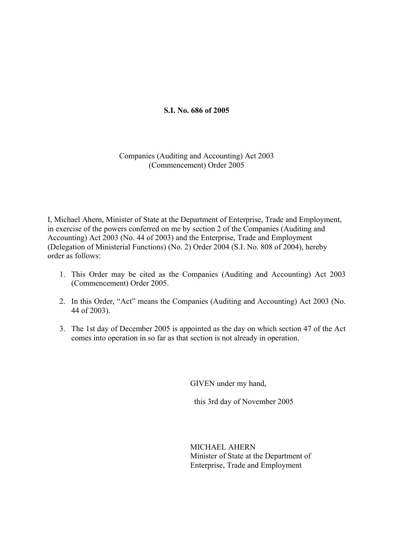# **S.I. No. 686 of 2005**

### Companies (Auditing and Accounting) Act 2003 (Commencement) Order 2005

I, Michael Ahern, Minister of State at the Department of Enterprise, Trade and Employment, in exercise of the powers conferred on me by section 2 of the Companies (Auditing and Accounting) Act 2003 (No. 44 of 2003) and the Enterprise, Trade and Employment (Delegation of Ministerial Functions) (No. 2) Order 2004 (S.I. No. 808 of 2004), hereby order as follows:

- 1. This Order may be cited as the Companies (Auditing and Accounting) Act 2003 (Commencement) Order 2005.
- 2. In this Order, "Act" means the Companies (Auditing and Accounting) Act 2003 (No. 44 of 2003).
- 3. The 1st day of December 2005 is appointed as the day on which section 47 of the Act comes into operation in so far as that section is not already in operation.

GIVEN under my hand,

this 3rd day of November 2005

MICHAEL AHERN Minister of State at the Department of Enterprise, Trade and Employment